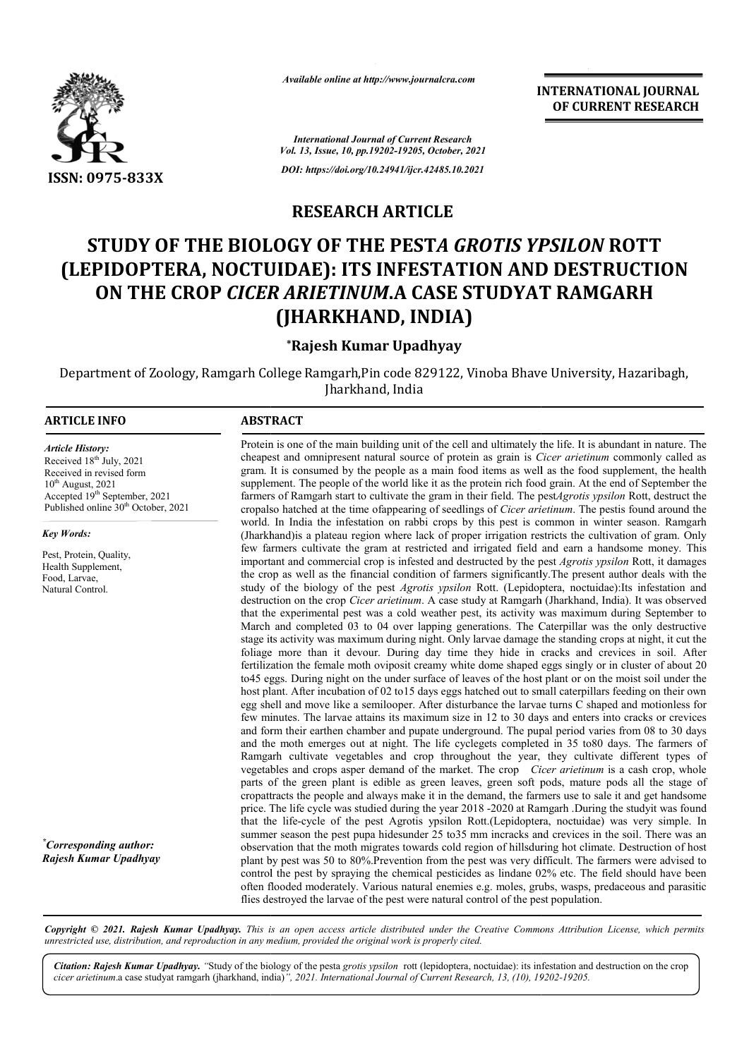

*Available online at http://www.journalcra.com*

*International Journal of Current Research Vol. 13, Issue, 10, pp.19202-19205, October, 2021 DOI: https://doi.org/10.24941/ijcr.42485.10.2021*

**INTERNATIONAL JOURNAL OF CURRENT RESEARCH**

**RESEARCH ARTICLE** 

# **STUDY OF THE BIOLOGY OF THE PEST** *A GROTIS YPSILON A GROTIS*  **ROTT (LEPIDOPTERA, NOCTUIDAE): ITS INFESTATION AND DESTRUCTION ON THE CROP** *CICER ARIETINUM* **.A CASE STUDYAT RAMGARH CASE (JHARKHAND, INDIA)**

#### **\*Rajesh Kumar Upadhyay**

Department of Zoology, Ramgarh College Ramgarh, Pin code 829122, Vinoba Bhave University, Hazaribagh, Jharkhand, India

#### **ARTICLE INFO ABSTRACT**

*Article History: Article History:* Received  $18<sup>th</sup>$  July, 2021 Received in revised form Received in revised form  $10^{th}$  August, 2021 Accepted 19<sup>th</sup> September, 2021 Published online 30<sup>th</sup> October, 2021

*Key Words:*

Pest, Protein, Quality, Health Supplement, Food, Larvae, Natural Control.

*\* Corresponding author: Rajesh Kumar Upadhyay*

Protein is one of the main building unit of the cell and ultimately the life. It is abundant in nature. The cheapest and omnipresent natural source of protein as grain is *Cicer arietinum* commonly called as gram. It is consumed by the people as a main food items as well as the food supplement, the health supplement. The people of the world like it as the protein rich food grain. At the end of September the gram. It is consumed by the people as a main food items as well as the food supplement, the health supplement. The people of the world like it as the protein rich food grain. At the end of September the farmers of Ramgarh cropalso hatched at the time ofappearing of seedlings of *Cicer arietinum*. The pestis found around the world. In India the infestation on rabbi crops by this pest is common in winter season. Ramgarh (Jharkhand)is a plateau region where lack of proper irrigation restricts the cultivation of gram. Only (Jharkhand) is a plateau region where lack of proper irrigation restricts the cultivation of gram. Only few farmers cultivate the gram at restricted and irrigated field and earn a handsome money. This important and commercial crop is infested and destructed by the pest *Agrotis ypsilon* Rott, it damages the crop as well as the financial condition of farmers significantly. The present author deals with the study of the biology of the pest *Agrotis ypsilon* Rott. (Lepidoptera, noctuidae):Its infestation and destruction on the crop *Cicer arietinum*. A case study at Ramgarh (Jharkhand, India). It was observed that the experimental pest was a cold weather pest, its activity was maximum during September to March and completed 03 to 04 over lapping generations. The Caterpillar was the only destructive destruction on the crop *Cicer arietinum*. A case study at Ramgarh (Jharkhand, India). It was observed that the experimental pest was a cold weather pest, its activity was maximum during September to March and completed 03 foliage more than it devour. During day time they hide in cracks and crevices in soil. After fertilization the female moth oviposit creamy white dome shaped eggs singly or in cluster of about 20 to 45 eggs. During night on the under surface of leaves of the host plant or on the moist soil under the host plant. After incubation of 02 to15 days eggs hatched out to small caterpillars feeding on their own egg shell and move like a semilooper. After disturbance the larvae turns C shaped and motionless few minutes. The larvae attains its maximum size in 12 to 30 days and enters into cracks or crevices and form their earthen chamber and pupate underground. The pupal period varies from 08 to 30 days and the moth emerges out at night. The life cyclegets completed in 35 to80 days. The farmers of few minutes. The larvae attains its maximum size in 12 to 30 days and enters into cracks or crevices and form their earthen chamber and pupate underground. The pupal period varies from 08 to 30 days and the moth emerges ou vegetables and crops asper demand of the market. The crop *Cicer arietinum* is a cash crop, whole parts of the green plant is edible as green leaves, green soft pods, mature pods all the stage of cropattracts the people and always make it in the demand, the farmers use to sale it and get handsome parts of the green plant is edible as green leaves, green soft pods, mature pods all the stage of cropattracts the people and always make it in the demand, the farmers use to sale it and get handsome price. The life cycle that the life-cycle of the pest Agrotis ypsilon Rott.(Lepidoptera, noctuidae) was very simple. In summer season the pest pupa hidesunder 25 to 35 mm incracks and crevices in the soil. There was an observation that the moth migrates towards cold region of hillsduring hot climate. Destruction of host plant by pest was 50 to 80%.Prevention from the pest was very difficult. The farmers were advised to control the pest by spraying the chemical pesticides as lindane 02% etc. The field should have been often flooded moderately. Various natural enemies e.g. moles, grubs, wasps, predaceous and parasitic often flooded moderately. Various natural enemies e.g. moles, grubs, wasps, predaceous flies destroyed the larvae of the pest were natural control of the pest population. foliage more than it devour. During day time they hide in cracks and crevices in soil. After fertilization the female moth oviposit creamy white dome shaped eggs singly or in cluster of about 20 to45 eggs. During night on summer season the pest pupa hidesunder 25 to35 mm incracks and crevices in the soil. There was an observation that the moth migrates towards cold region of hillsduring hot climate. Destruction of host plant by pest was 50

Copyright © 2021. Rajesh Kumar Upadhyay. This is an open access article distributed under the Creative Commons Attribution License, which permits *unrestricted use, distribution, and reproduction in any medium, provided the original work is properly cited.*

Citation: Rajesh Kumar Upadhyay. "Study of the biology of the pesta grotis ypsilon rott (lepidoptera, noctuidae): its infestation and destruction on the crop *cicer arietinum*.a case studyat ramgarh (jharkhand, india) *", 2021. International Journal of Current Research, 13, (10), 19202 19202-19205.*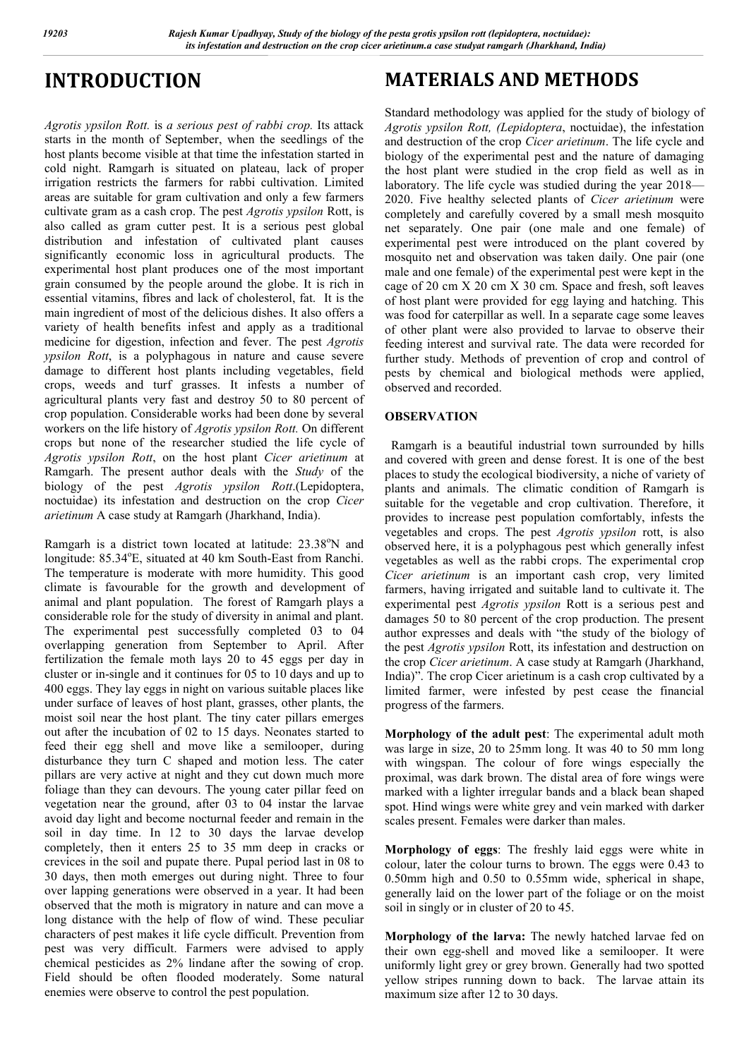# **INTRODUCTION**

*Agrotis ypsilon Rott.* is *a serious pest of rabbi crop.* Its attack starts in the month of September, when the seedlings of the host plants become visible at that time the infestation started in cold night. Ramgarh is situated on plateau, lack of proper irrigation restricts the farmers for rabbi cultivation. Limited areas are suitable for gram cultivation and only a few farmers cultivate gram as a cash crop. The pest *Agrotis ypsilon* Rott, is also called as gram cutter pest. It is a serious pest global distribution and infestation of cultivated plant causes significantly economic loss in agricultural products. The experimental host plant produces one of the most important grain consumed by the people around the globe. It is rich in essential vitamins, fibres and lack of cholesterol, fat. It is the main ingredient of most of the delicious dishes. It also offers a variety of health benefits infest and apply as a traditional medicine for digestion, infection and fever. The pest *Agrotis ypsilon Rott*, is a polyphagous in nature and cause severe damage to different host plants including vegetables, field crops, weeds and turf grasses. It infests a number of agricultural plants very fast and destroy 50 to 80 percent of crop population. Considerable works had been done by several workers on the life history of *Agrotis ypsilon Rott.* On different crops but none of the researcher studied the life cycle of *Agrotis ypsilon Rott*, on the host plant *Cicer arietinum* at Ramgarh. The present author deals with the *Study* of the biology of the pest *Agrotis ypsilon Rott*.(Lepidoptera, noctuidae) its infestation and destruction on the crop *Cicer arietinum* A case study at Ramgarh (Jharkhand, India).

Ramgarh is a district town located at latitude: 23.38°N and longitude: 85.34°E, situated at 40 km South-East from Ranchi. The temperature is moderate with more humidity. This good climate is favourable for the growth and development of animal and plant population. The forest of Ramgarh plays a considerable role for the study of diversity in animal and plant. The experimental pest successfully completed 03 to 04 overlapping generation from September to April. After fertilization the female moth lays 20 to 45 eggs per day in cluster or in-single and it continues for 05 to 10 days and up to 400 eggs. They lay eggs in night on various suitable places like under surface of leaves of host plant, grasses, other plants, the moist soil near the host plant. The tiny cater pillars emerges out after the incubation of 02 to 15 days. Neonates started to feed their egg shell and move like a semilooper, during disturbance they turn C shaped and motion less. The cater pillars are very active at night and they cut down much more foliage than they can devours. The young cater pillar feed on vegetation near the ground, after 03 to 04 instar the larvae avoid day light and become nocturnal feeder and remain in the soil in day time. In 12 to 30 days the larvae develop completely, then it enters 25 to 35 mm deep in cracks or crevices in the soil and pupate there. Pupal period last in 08 to 30 days, then moth emerges out during night. Three to four over lapping generations were observed in a year. It had been observed that the moth is migratory in nature and can move a long distance with the help of flow of wind. These peculiar characters of pest makes it life cycle difficult. Prevention from pest was very difficult. Farmers were advised to apply chemical pesticides as 2% lindane after the sowing of crop. Field should be often flooded moderately. Some natural enemies were observe to control the pest population.

# **MATERIALS AND METHODS**

Standard methodology was applied for the study of biology of *Agrotis ypsilon Rott, (Lepidoptera*, noctuidae), the infestation and destruction of the crop *Cicer arietinum*. The life cycle and biology of the experimental pest and the nature of damaging the host plant were studied in the crop field as well as in laboratory. The life cycle was studied during the year 2018— 2020. Five healthy selected plants of *Cicer arietinum* were completely and carefully covered by a small mesh mosquito net separately. One pair (one male and one female) of experimental pest were introduced on the plant covered by mosquito net and observation was taken daily. One pair (one male and one female) of the experimental pest were kept in the cage of 20 cm X 20 cm X 30 cm. Space and fresh, soft leaves of host plant were provided for egg laying and hatching. This was food for caterpillar as well. In a separate cage some leaves of other plant were also provided to larvae to observe their feeding interest and survival rate. The data were recorded for further study. Methods of prevention of crop and control of pests by chemical and biological methods were applied, observed and recorded.

#### **OBSERVATION**

 Ramgarh is a beautiful industrial town surrounded by hills and covered with green and dense forest. It is one of the best places to study the ecological biodiversity, a niche of variety of plants and animals. The climatic condition of Ramgarh is suitable for the vegetable and crop cultivation. Therefore, it provides to increase pest population comfortably, infests the vegetables and crops. The pest *Agrotis ypsilon* rott, is also observed here, it is a polyphagous pest which generally infest vegetables as well as the rabbi crops. The experimental crop *Cicer arietinum* is an important cash crop, very limited farmers, having irrigated and suitable land to cultivate it. The experimental pest *Agrotis ypsilon* Rott is a serious pest and damages 50 to 80 percent of the crop production. The present author expresses and deals with "the study of the biology of the pest *Agrotis ypsilon* Rott, its infestation and destruction on the crop *Cicer arietinum*. A case study at Ramgarh (Jharkhand, India)". The crop Cicer arietinum is a cash crop cultivated by a limited farmer, were infested by pest cease the financial progress of the farmers.

**Morphology of the adult pest**: The experimental adult moth was large in size, 20 to 25mm long. It was 40 to 50 mm long with wingspan. The colour of fore wings especially the proximal, was dark brown. The distal area of fore wings were marked with a lighter irregular bands and a black bean shaped spot. Hind wings were white grey and vein marked with darker scales present. Females were darker than males.

**Morphology of eggs**: The freshly laid eggs were white in colour, later the colour turns to brown. The eggs were 0.43 to 0.50mm high and 0.50 to 0.55mm wide, spherical in shape, generally laid on the lower part of the foliage or on the moist soil in singly or in cluster of 20 to 45.

**Morphology of the larva:** The newly hatched larvae fed on their own egg-shell and moved like a semilooper. It were uniformly light grey or grey brown. Generally had two spotted yellow stripes running down to back. The larvae attain its maximum size after 12 to 30 days.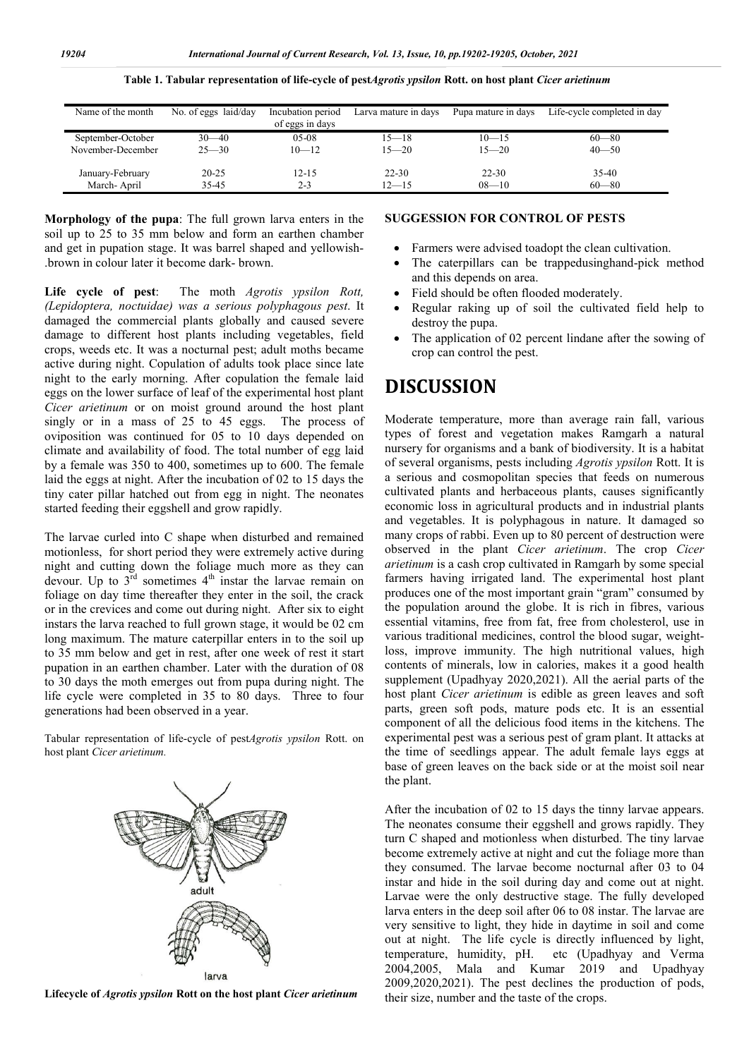| Name of the month | No. of eggs laid/day | Incubation period<br>of eggs in days | Larva mature in days | Pupa mature in days | Life-cycle completed in day |
|-------------------|----------------------|--------------------------------------|----------------------|---------------------|-----------------------------|
|                   |                      |                                      |                      |                     |                             |
| September-October | $30 - 40$            | $05-08$                              | $15 - 18$            | $10 - 15$           | $60 - 80$                   |
| November-December | $25 - 30$            | $10 - 12$                            | $15 - 20$            | $15 - 20$           | $40 - 50$                   |
|                   |                      |                                      |                      |                     |                             |
| January-February  | $20 - 25$            | $12 - 15$                            | $22 - 30$            | $22 - 30$           | $35-40$                     |
| March-April       | 35-45                | $2 - 3$                              | $12 - 15$            | $08 - 10$           | $60 - 80$                   |

**Table 1. Tabular representation of life-cycle of pest***Agrotis ypsilon* **Rott. on host plant** *Cicer arietinum*

**Morphology of the pupa**: The full grown larva enters in the soil up to 25 to 35 mm below and form an earthen chamber and get in pupation stage. It was barrel shaped and yellowish- .brown in colour later it become dark- brown.

**Life cycle of pest**: The moth *Agrotis ypsilon Rott, (Lepidoptera, noctuidae) was a serious polyphagous pest*. It damaged the commercial plants globally and caused severe damage to different host plants including vegetables, field crops, weeds etc. It was a nocturnal pest; adult moths became active during night. Copulation of adults took place since late night to the early morning. After copulation the female laid eggs on the lower surface of leaf of the experimental host plant *Cicer arietinum* or on moist ground around the host plant singly or in a mass of 25 to 45 eggs. The process of oviposition was continued for 05 to 10 days depended on climate and availability of food. The total number of egg laid by a female was 350 to 400, sometimes up to 600. The female laid the eggs at night. After the incubation of 02 to 15 days the tiny cater pillar hatched out from egg in night. The neonates started feeding their eggshell and grow rapidly.

The larvae curled into C shape when disturbed and remained motionless, for short period they were extremely active during night and cutting down the foliage much more as they can devour. Up to  $3^{\overline{r}d}$  sometimes  $4^{\text{th}}$  instar the larvae remain on foliage on day time thereafter they enter in the soil, the crack or in the crevices and come out during night. After six to eight instars the larva reached to full grown stage, it would be 02 cm long maximum. The mature caterpillar enters in to the soil up to 35 mm below and get in rest, after one week of rest it start pupation in an earthen chamber. Later with the duration of 08 to 30 days the moth emerges out from pupa during night. The life cycle were completed in 35 to 80 days. Three to four generations had been observed in a year.

Tabular representation of life-cycle of pest*Agrotis ypsilon* Rott. on host plant *Cicer arietinum.*



**Lifecycle of** *Agrotis ypsilon* **Rott on the host plant** *Cicer arietinum*

#### **SUGGESSION FOR CONTROL OF PESTS**

- Farmers were advised toadopt the clean cultivation.
- The caterpillars can be trappedusinghand-pick method and this depends on area.
- Field should be often flooded moderately.
- Regular raking up of soil the cultivated field help to destroy the pupa.
- The application of 02 percent lindane after the sowing of crop can control the pest.

### **DISCUSSION**

Moderate temperature, more than average rain fall, various types of forest and vegetation makes Ramgarh a natural nursery for organisms and a bank of biodiversity. It is a habitat of several organisms, pests including *Agrotis ypsilon* Rott. It is a serious and cosmopolitan species that feeds on numerous cultivated plants and herbaceous plants, causes significantly economic loss in agricultural products and in industrial plants and vegetables. It is polyphagous in nature. It damaged so many crops of rabbi. Even up to 80 percent of destruction were observed in the plant *Cicer arietinum*. The crop *Cicer arietinum* is a cash crop cultivated in Ramgarh by some special farmers having irrigated land. The experimental host plant produces one of the most important grain "gram" consumed by the population around the globe. It is rich in fibres, various essential vitamins, free from fat, free from cholesterol, use in various traditional medicines, control the blood sugar, weightloss, improve immunity. The high nutritional values, high contents of minerals, low in calories, makes it a good health supplement (Upadhyay 2020,2021). All the aerial parts of the host plant *Cicer arietinum* is edible as green leaves and soft parts, green soft pods, mature pods etc. It is an essential component of all the delicious food items in the kitchens. The experimental pest was a serious pest of gram plant. It attacks at the time of seedlings appear. The adult female lays eggs at base of green leaves on the back side or at the moist soil near the plant.

After the incubation of 02 to 15 days the tinny larvae appears. The neonates consume their eggshell and grows rapidly. They turn C shaped and motionless when disturbed. The tiny larvae become extremely active at night and cut the foliage more than they consumed. The larvae become nocturnal after 03 to 04 instar and hide in the soil during day and come out at night. Larvae were the only destructive stage. The fully developed larva enters in the deep soil after 06 to 08 instar. The larvae are very sensitive to light, they hide in daytime in soil and come out at night. The life cycle is directly influenced by light, temperature, humidity, pH. etc (Upadhyay and Verma 2004,2005, Mala and Kumar 2019 and Upadhyay 2009,2020,2021). The pest declines the production of pods, their size, number and the taste of the crops.